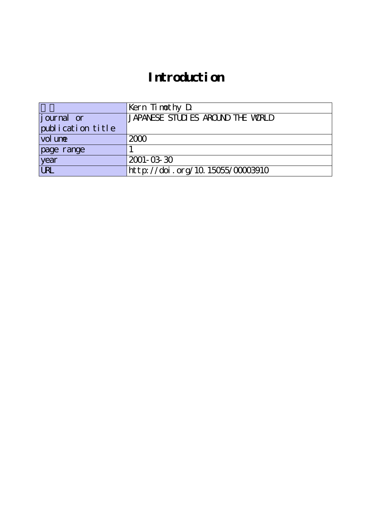## **Introduction**

|                   | Kern Timothy D                    |
|-------------------|-----------------------------------|
| journal or        | JAPANESE STUDIES AROUND THE WORLD |
| publication title |                                   |
| vol une           | 2000                              |
| page range        |                                   |
| year              | $2001 - 03 - 30$                  |
| <b>URL</b>        | http://doi.org/10.15055/00003910  |